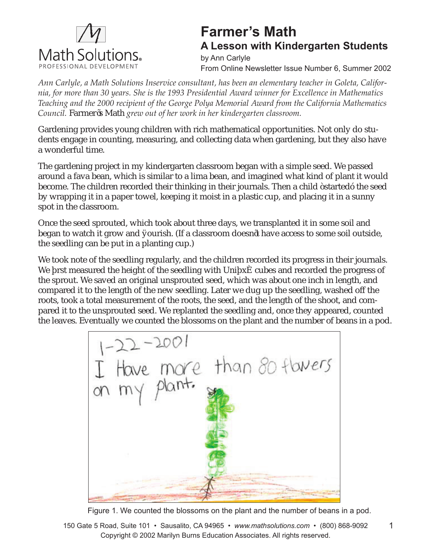

## **Farmer's Math A Lesson with Kindergarten Students**

by Ann Carlyle From Online Newsletter Issue Number 6, Summer 2002

*Ann Carlyle, a Math Solutions Inservice consultant, has been an elementary teacher in Goleta, California, for more than 30 years. She is the 1993 Presidential Award winner for Excellence in Mathematics Teaching and the 2000 recipient of the George Polya Memorial Award from the California Mathematics Council.* **: Ua YfigA Uh** grew out of her work in her kindergarten classroom.

; UXYblbl dfcj |XYgnci bl W|XfYbk |h f|Wa Uh Ya UHW cddcfh b|HYg'B chcb mXc ghi!  $X$ bhg Ybl U Ylb Wi bhbl ža Ylgi flbl žUb $X$ W `YMbl XUUk \Yb I U $X$ Yblbl žVi hh YmUgc \U Y Uk cbXYfZ ``Ha Y"

H Y LIXY blo dfc WM bam bXY LING Wiggfcca W bk h Ugad YgYX" K YdligYX" Uci bXUZ UVYUbž $k \setminus W$  gga | U tr U a UVYUbžUbX a U | bYX $k \setminus U$  | bXcZd Ubh | hk ci X become. The children recorded the children recorded the children recorded the children recorded the children in the set of the set of the set of the set of the set of the set of the set of the set of the set of the set of Vmk fUddlb[ |h|b UdUdYf lrck Yž\_YYdl|b[ |ha c|gh|b Ud UglWWdžUbXd UWb[ |h|b Ugi bbm gdchlb h YWbgfcca "

CbWh YgYYX gdfci hYXžk \]W hcc\_ U ci hh fYYXUngžk YhfUbgd UbhYX ]h]b gca Ygc] `UbX M U to k UW hil fck U X Û ci fle\ "fizU WU befcca X cYebÑi\ U Y U Wegh gca Y gc |` ci hel X Y z h YgYY b who will help und the will with

K Yhc bchYcZh YgYYX |b| fY| i `U`rniUbX'h YW|`XfYb fYWfXYX' |lpdfc| fYgg |b h Y|f 'ci fbUg'' K YÚfgha YLgi fYXlh Y\Y||\hcZh\YgYYX||b| k ||h I b|U ¤ WVYgUbXfYWfXYXlh\Ydfc| fYggcZ the sprouth sprouth sprouth. We say the sprouth was about the sprouth was about the sprouth in the sprouth. We say that in the space in the space in the space in the space in the space in the space in the space in the spac WadUYX hhch Y Yb h cZh YbYk gYYX b r aUM k YXi | idh YgYYX b zk UAY CZh Y fcchežhc Uhch a Ylei fya YbhcZh Yfcchežh YgYYXžUx'h Y Ybl h cZh Yg\cchžUbXWa! dUYX'lhlic h Yi bgdfci hYX'gYYX"K YfYd UbhYX'h YgYYX'lb[ UbX $\widetilde{z}$ cbW'h YmUddYUYYZEWi bhYX' h Y'YU Yg''9j Ybh U'mk Y'Wi bhYX'h Y'V conca gcb h Yd'UbhUbX'h Ybi a VY cZVYUbg'|b UdcX''



Figure 1. We counted the blossoms on the plant and the number of beans in a pod.

150 Gate 5 Road, Suite 101 • Sausalito, CA 94965 • *www.mathsolutions.com* • (800) 868-9092 Copyright © 2002 Marilyn Burns Education Associates. All rights reserved.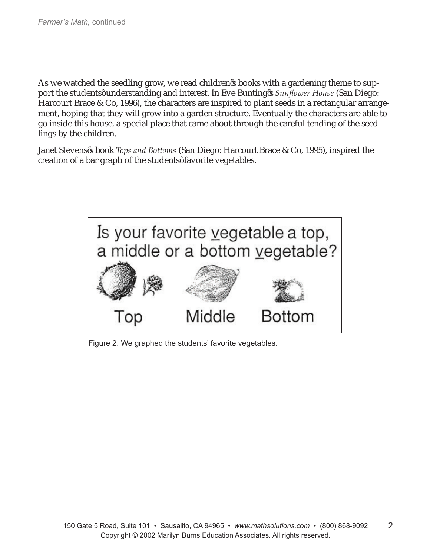5gk Yk UWYX'h YgYYX'|b| | fck žk YfYUX'W|`XfYbÑy'Vcc\_g'k ||h U| UYXYb||b| 'h Ya Yle gi d! dcfhih Ygh Xyblgy bXYfgHbXlb[ UbX |bhYYgh + 9j Y6i bhb[ Ng Sunflower House fCUb 8 | Y c. < UW: fh6fUW/ 7 cž% - \*Ezh YWUUMMfgUY|bgd|fYXh: d`UbhgYYXg|b UfYMUb| i `U UffUb| Y! a Yolž\cd]b[ h\Unh Ymk ]``[ fck ]blc U[ UXYb glfi Wi fY"9j Yoli U`mh YWUUWMfgUYUVYlc [c]bg|XYh]g\ci gYzUgdYWU d`UWhUhWa YU/ci hh\fci [\`h\YWFYZ``hYbX]b[`cZh\YgYYX!  $\Phi$  is  $\Phi$  in the children.

JbYnCh Ybgy Vcc\_Tops and Bottoms fCUb 8 |Y| c. < UW: fh6fUW/ 7 cž% - Libgd |fYX h Y Wind control of the students' of the students' favorite vegetables. When the students' favorite vegetables. When  $\mathbb{Z}$  is  $\mathbb{Z}$  is  $\mathbb{Z}$  is  $\mathbb{Z}$  is  $\mathbb{Z}$  is  $\mathbb{Z}$  is  $\mathbb{Z}$  is  $\mathbb{Z}$  is  $\mathbb{Z}$  is



Figure 2. We graphed the students' favorite vegetables.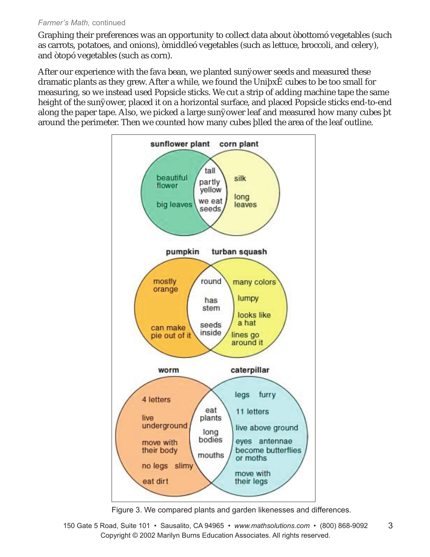; fUd\|b| h\Y|fdfYZYfYbWgk UgUb cddcfh b||mhc W``YWEXUUU/ci hÎVchca Ï i Y| YYUVYefbi W` LgWffchedcHlrYgubXcbchgzia XXY jY YHVYgfh WUg Yh WeVfcWV zUbXWYmiz UbXÎ hedÎ j Y| YHVYgfhai W UgWfbE"

5ZMf ci f Yl dYf|YbWk |h h YZJ UVYLbžk Yd UbhYX gi bÛck Yf gYYXgUbX a YLgi fYX'h YgY XfUa UHWd'UblgUgh Ymi fYk "5 ZMf Uk \|`Yzk YZci bX'h YI blÚ ¤ WWglc W'hcc ga U`Zef a Mg f|b| žgc k Y|bgMUXi gYXDcdg|WYgHWg"K YWhUghf|d cZUXX|b| a UW|bYHUYh YgUa Y \Y||\hcZh\Yg|bÛck\Yzd`UWX`|hcbU\cf|ncbHJ`gifZUWZUbXd`UWXDcdg|WYgHWgYbXlhc!YbX` Ucb[ h\YdUdYf HUY'5 `gcžk Yd]WYXU`Uf Yg bÛck Yf ``YUZUbX`a YUg fYX`\ck `a UbmWVYgÚh Uci bXh YdYfa YM<sup>r</sup>H Yb k YWi bhX\ck a UbmWVgÚ YXh YUYUcZh Y YUZci hlbY



Figure 3. We compared plants and garden likenesses and differences.

3

150 Gate 5 Road, Suite 101 • Sausalito, CA 94965 • *www.mathsolutions.com* • (800) 868-9092 Copyright © 2002 Marilyn Burns Education Associates. All rights reserved.